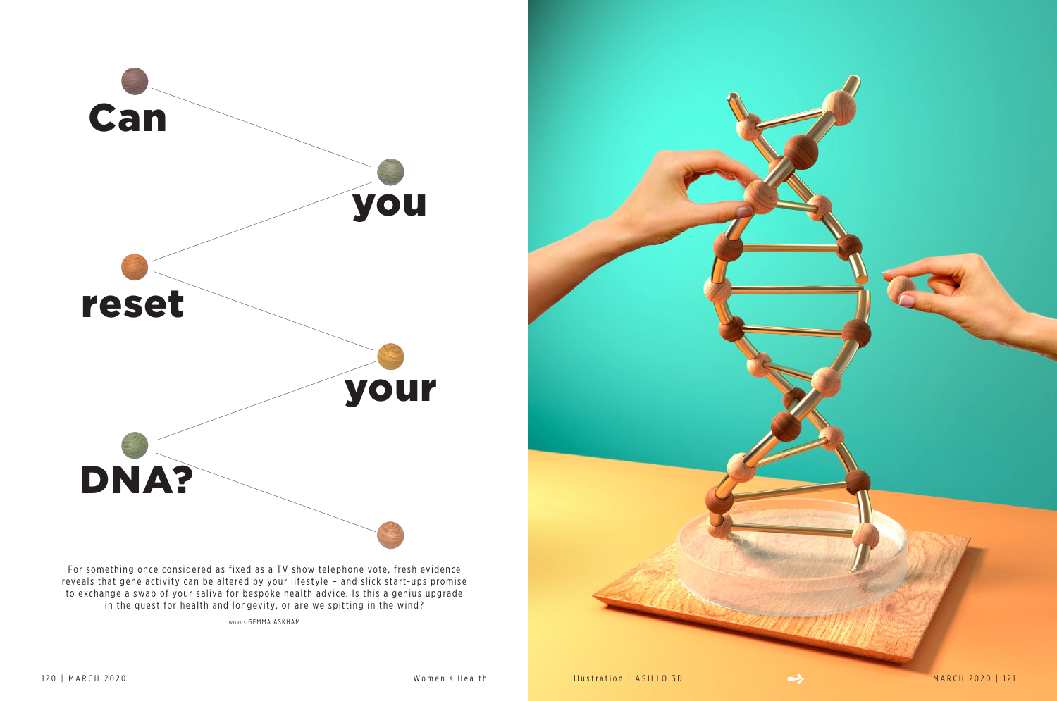For something once considered as fixed as a TV show telephone vote, fresh evidence reveals that gene activity can be altered by your lifestyle - and slick start-ups promise to exchange a swab of your saliva for bespoke health advice. Is this a genius upgrade in the quest for health and longevity, or are we spitting in the wind?

WORDS GEMMA ASKHAM

120 | MARCH 2020 MARCH 2020 | 121



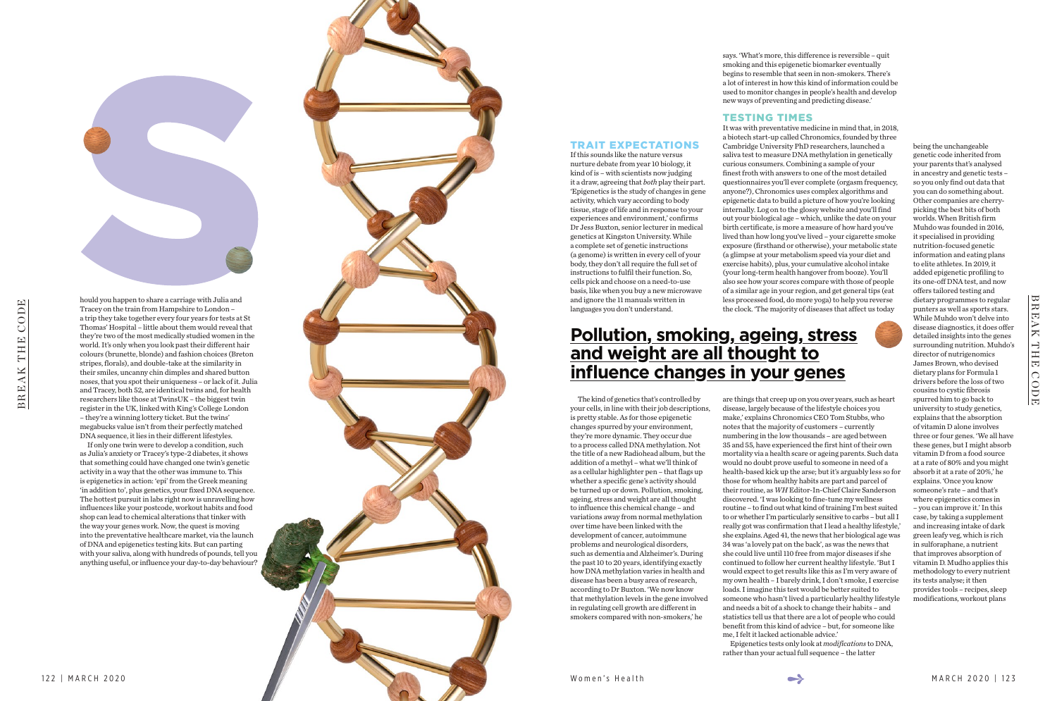hould you happen to share a carriage with Julia and Tracey on the train from Hampshire to London – a trip they take together every four years for tests at St Thomas' Hospital – little about them would reveal that they're two of the most medically studied women in the world. It's only when you look past their different hair colours (brunette, blonde) and fashion choices (Breton stripes, florals), and double-take at the similarity in their smiles, uncanny chin dimples and shared button noses, that you spot their uniqueness – or lack of it. Julia and Tracey, both 52, are identical twins and, for health researchers like those at TwinsUK – the biggest twin register in the UK, linked with King's College London – they're a winning lottery ticket. But the twins' megabucks value isn't from their perfectly matched DNA sequence, it lies in their different lifestyles. If only one twin were to develop a condition, such

as Julia's anxiety or Tracey's type-2 diabetes, it shows that something could have changed one twin's genetic activity in a way that the other was immune to. This is epigenetics in action: 'epi' from the Greek meaning 'in addition to', plus genetics, your fixed DNA sequence. The hottest pursuit in labs right now is unravelling how influences like your postcode, workout habits and food shop can lead to chemical alterations that tinker with the way your genes work. Now, the quest is moving into the preventative healthcare market, via the launch of DNA and epigenetics testing kits. But can parting with your saliva, along with hundreds of pounds, tell you anything useful, or influence your day-to-day behaviour?

TRAIT EXPECTATIONS If this sounds like the nature versus nurture debate from year 10 biology, it kind of is – with scientists now judging it a draw, agreeing that *both* play their part. 'Epigenetics is the study of changes in gene activity, which vary according to body tissue, stage of life and in response to your experiences and environment,' confirms Dr Jess Buxton, senior lecturer in medical genetics at Kingston University. While a complete set of genetic instructions (a genome) is written in every cell of your body, they don't all require the full set of instructions to fulfil their function. So, cells pick and choose on a need-to-use basis, like when you buy a new microwave and ignore the 11 manuals written in languages you don't understand.

The kind of genetics that's controlled by your cells, in line with their job descriptions, is pretty stable. As for those epigenetic changes spurred by your environment, they're more dynamic. They occur due to a process called DNA methylation. Not the title of a new Radiohead album, but the addition of a methyl – what we'll think of as a cellular highlighter pen – that flags up whether a specific gene's activity should be turned up or down. Pollution, smoking, ageing, stress and weight are all thought to influence this chemical change – and variations away from normal methylation over time have been linked with the development of cancer, autoimmune problems and neurological disorders, such as dementia and Alzheimer's. During the past 10 to 20 years, identifying exactly how DNA methylation varies in health and disease has been a busy area of research, according to Dr Buxton. 'We now know that methylation levels in the gene involved in regulating cell growth are different in smokers compared with non-smokers,' he

says. 'What's more, this difference is reversible – quit smoking and this epigenetic biomarker eventually begins to resemble that seen in non-smokers. There's a lot of interest in how this kind of information could be used to monitor changes in people's health and develop new ways of preventing and predicting disease.'



### TESTING TIMES

It was with preventative medicine in mind that, in 2018, a biotech start-up called Chronomics, founded by three Cambridge University PhD researchers, launched a saliva test to measure DNA methylation in genetically curious consumers. Combining a sample of your finest froth with answers to one of the most detailed questionnaires you'll ever complete (orgasm frequency, anyone?), Chronomics uses complex algorithms and epigenetic data to build a picture of how you're looking internally. Log on to the glossy website and you'll find out your biological age – which, unlike the date on your birth certificate, is more a measure of how hard you've lived than how long you've lived – your cigarette smoke exposure (firsthand or otherwise), your metabolic state (a glimpse at your metabolism speed via your diet and exercise habits), plus, your cumulative alcohol intake (your long-term health hangover from booze). You'll also see how your scores compare with those of people of a similar age in your region, and get general tips (eat less processed food, do more yoga) to help you reverse the clock. 'The majority of diseases that affect us today

are things that creep up on you over years, such as heart disease, largely because of the lifestyle choices you make,' explains Chronomics CEO Tom Stubbs, who notes that the majority of customers – currently numbering in the low thousands – are aged between 35 and 55, have experienced the first hint of their own mortality via a health scare or ageing parents. Such data would no doubt prove useful to someone in need of a health-based kick up the arse; but it's arguably less so for those for whom healthy habits are part and parcel of their routine, as *WH* Editor-In-Chief Claire Sanderson discovered. 'I was looking to fine-tune my wellness routine – to find out what kind of training I'm best suited to or whether I'm particularly sensitive to carbs – but all I really got was confirmation that I lead a healthy lifestyle,' she explains. Aged 41, the news that her biological age was 34 was 'a lovely pat on the back', as was the news that she could live until 110 free from major diseases if she continued to follow her current healthy lifestyle. 'But I would expect to get results like this as I'm very aware of my own health – I barely drink, I don't smoke, I exercise loads. I imagine this test would be better suited to someone who hasn't lived a particularly healthy lifestyle and needs a bit of a shock to change their habits – and statistics tell us that there are a lot of people who could benefit from this kind of advice – but, for someone like me, I felt it lacked actionable advice.'

Epigenetics tests only look at *modifications* to DNA, rather than your actual full sequence – the latter

being the unchangeable genetic code inherited from your parents that's analysed in ancestry and genetic tests – so you only find out data that you can do something about. Other companies are cherrypicking the best bits of both worlds. When British firm Muhdo was founded in 2016, it specialised in providing nutrition-focused genetic information and eating plans to elite athletes. In 2019, it added epigenetic profiling to its one-off DNA test, and now offers tailored testing and dietary programmes to regular punters as well as sports stars. While Muhdo won't delve into disease diagnostics, it does offer detailed insights into the genes surrounding nutrition. Muhdo's director of nutrigenomics James Brown, who devised dietary plans for Formula 1 drivers before the loss of two cousins to cystic fibrosis spurred him to go back to university to study genetics, explains that the absorption of vitamin D alone involves three or four genes. 'We all have these genes, but I might absorb vitamin D from a food source at a rate of 80% and you might absorb it at a rate of 20%,' he explains. 'Once you know someone's rate – and that's where epigenetics comes in – you can improve it.' In this case, by taking a supplement and increasing intake of dark green leafy veg, which is rich in sulforaphane, a nutrient that improves absorption of vitamin D. Mudho applies this methodology to every nutrient its tests analyse; it then provides tools – recipes, sleep modifications, workout plans



## **Pollution , smoking, a geing, stress and wei ght are all thou ght to influence chan ges in your genes**